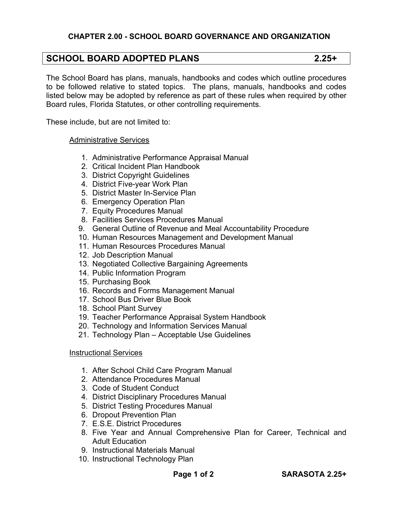# **SCHOOL BOARD ADOPTED PLANS 2.25+**

The School Board has plans, manuals, handbooks and codes which outline procedures to be followed relative to stated topics. The plans, manuals, handbooks and codes listed below may be adopted by reference as part of these rules when required by other Board rules, Florida Statutes, or other controlling requirements.

These include, but are not limited to:

### Administrative Services

- 1. Administrative Performance Appraisal Manual
- 2. Critical Incident Plan Handbook
- 3. District Copyright Guidelines
- 4. District Five-year Work Plan
- 5. District Master In-Service Plan
- 6. Emergency Operation Plan
- 7. Equity Procedures Manual
- 8. Facilities Services Procedures Manual
- 9. General Outline of Revenue and Meal Accountability Procedure
- 10. Human Resources Management and Development Manual
- 11. Human Resources Procedures Manual
- 12. Job Description Manual
- 13. Negotiated Collective Bargaining Agreements
- 14. Public Information Program
- 15. Purchasing Book
- 16. Records and Forms Management Manual
- 17. School Bus Driver Blue Book
- 18. School Plant Survey
- 19. Teacher Performance Appraisal System Handbook
- 20. Technology and Information Services Manual
- 21. Technology Plan Acceptable Use Guidelines

## Instructional Services

- 1. After School Child Care Program Manual
- 2. Attendance Procedures Manual
- 3. Code of Student Conduct
- 4. District Disciplinary Procedures Manual
- 5. District Testing Procedures Manual
- 6. Dropout Prevention Plan
- 7. E.S.E. District Procedures
- 8. Five Year and Annual Comprehensive Plan for Career, Technical and Adult Education
- 9. Instructional Materials Manual
- 10. Instructional Technology Plan